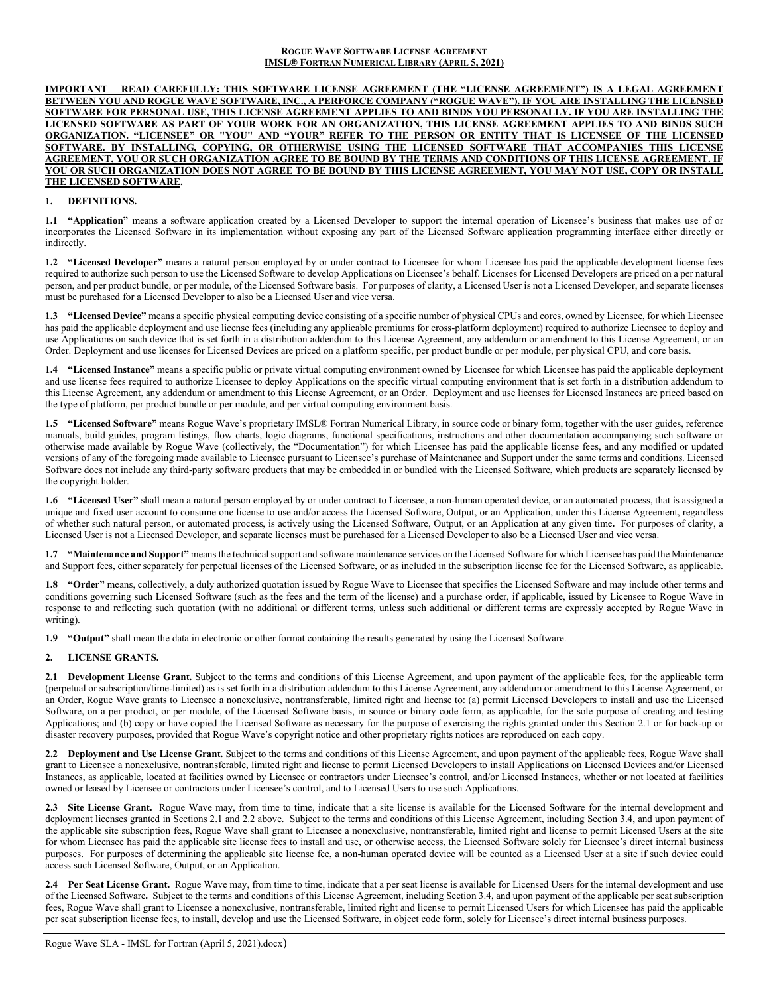#### **ROGUE WAVE SOFTWARE LICENSE AGREEMENT IMSL® FORTRAN NUMERICAL LIBRARY (APRIL 5, 2021)**

**IMPORTANT – READ CAREFULLY: THIS SOFTWARE LICENSE AGREEMENT (THE "LICENSE AGREEMENT") IS A LEGAL AGREEMENT BETWEEN YOU AND ROGUE WAVE SOFTWARE, INC., A PERFORCE COMPANY ("ROGUE WAVE"). IF YOU ARE INSTALLING THE LICENSED SOFTWARE FOR PERSONAL USE, THIS LICENSE AGREEMENT APPLIES TO AND BINDS YOU PERSONALLY. IF YOU ARE INSTALLING THE LICENSED SOFTWARE AS PART OF YOUR WORK FOR AN ORGANIZATION, THIS LICENSE AGREEMENT APPLIES TO AND BINDS SUCH ORGANIZATION. "LICENSEE" OR "YOU" AND "YOUR" REFER TO THE PERSON OR ENTITY THAT IS LICENSEE OF THE LICENSED SOFTWARE. BY INSTALLING, COPYING, OR OTHERWISE USING THE LICENSED SOFTWARE THAT ACCOMPANIES THIS LICENSE AGREEMENT, YOU OR SUCH ORGANIZATION AGREE TO BE BOUND BY THE TERMS AND CONDITIONS OF THIS LICENSE AGREEMENT. IF YOU OR SUCH ORGANIZATION DOES NOT AGREE TO BE BOUND BY THIS LICENSE AGREEMENT, YOU MAY NOT USE, COPY OR INSTALL THE LICENSED SOFTWARE.**

### **1. DEFINITIONS.**

**1.1 "Application"** means a software application created by a Licensed Developer to support the internal operation of Licensee's business that makes use of or incorporates the Licensed Software in its implementation without exposing any part of the Licensed Software application programming interface either directly or indirectly.

**1.2 "Licensed Developer"** means a natural person employed by or under contract to Licensee for whom Licensee has paid the applicable development license fees required to authorize such person to use the Licensed Software to develop Applications on Licensee's behalf. Licenses for Licensed Developers are priced on a per natural person, and per product bundle, or per module, of the Licensed Software basis. For purposes of clarity, a Licensed User is not a Licensed Developer, and separate licenses must be purchased for a Licensed Developer to also be a Licensed User and vice versa.

**1.3 "Licensed Device"** means a specific physical computing device consisting of a specific number of physical CPUs and cores, owned by Licensee, for which Licensee has paid the applicable deployment and use license fees (including any applicable premiums for cross-platform deployment) required to authorize Licensee to deploy and use Applications on such device that is set forth in a distribution addendum to this License Agreement, any addendum or amendment to this License Agreement, or an Order. Deployment and use licenses for Licensed Devices are priced on a platform specific, per product bundle or per module, per physical CPU, and core basis.

**1.4 "Licensed Instance"** means a specific public or private virtual computing environment owned by Licensee for which Licensee has paid the applicable deployment and use license fees required to authorize Licensee to deploy Applications on the specific virtual computing environment that is set forth in a distribution addendum to this License Agreement, any addendum or amendment to this License Agreement, or an Order. Deployment and use licenses for Licensed Instances are priced based on the type of platform, per product bundle or per module, and per virtual computing environment basis.

**1.5 "Licensed Software"** means Rogue Wave's proprietary IMSL® Fortran Numerical Library, in source code or binary form, together with the user guides, reference manuals, build guides, program listings, flow charts, logic diagrams, functional specifications, instructions and other documentation accompanying such software or otherwise made available by Rogue Wave (collectively, the "Documentation") for which Licensee has paid the applicable license fees, and any modified or updated versions of any of the foregoing made available to Licensee pursuant to Licensee's purchase of Maintenance and Support under the same terms and conditions. Licensed Software does not include any third-party software products that may be embedded in or bundled with the Licensed Software, which products are separately licensed by the copyright holder.

**1.6 "Licensed User"** shall mean a natural person employed by or under contract to Licensee, a non-human operated device, or an automated process, that is assigned a unique and fixed user account to consume one license to use and/or access the Licensed Software, Output, or an Application, under this License Agreement, regardless of whether such natural person, or automated process, is actively using the Licensed Software, Output, or an Application at any given time**.** For purposes of clarity, a Licensed User is not a Licensed Developer, and separate licenses must be purchased for a Licensed Developer to also be a Licensed User and vice versa.

**1.7 "Maintenance and Support"** means the technical support and software maintenance services on the Licensed Software for which Licensee has paid the Maintenance and Support fees, either separately for perpetual licenses of the Licensed Software, or as included in the subscription license fee for the Licensed Software, as applicable.

1.8 **"Order"** means, collectively, a duly authorized quotation issued by Rogue Wave to Licensee that specifies the Licensed Software and may include other terms and conditions governing such Licensed Software (such as the fees and the term of the license) and a purchase order, if applicable, issued by Licensee to Rogue Wave in response to and reflecting such quotation (with no additional or different terms, unless such additional or different terms are expressly accepted by Rogue Wave in writing).

**1.9 "Output"** shall mean the data in electronic or other format containing the results generated by using the Licensed Software.

## **2. LICENSE GRANTS.**

**2.1 Development License Grant.** Subject to the terms and conditions of this License Agreement, and upon payment of the applicable fees, for the applicable term (perpetual or subscription/time-limited) as is set forth in a distribution addendum to this License Agreement, any addendum or amendment to this License Agreement, or an Order, Rogue Wave grants to Licensee a nonexclusive, nontransferable, limited right and license to: (a) permit Licensed Developers to install and use the Licensed Software, on a per product, or per module, of the Licensed Software basis, in source or binary code form, as applicable, for the sole purpose of creating and testing Applications; and (b) copy or have copied the Licensed Software as necessary for the purpose of exercising the rights granted under this Section 2.1 or for back-up or disaster recovery purposes, provided that Rogue Wave's copyright notice and other proprietary rights notices are reproduced on each copy.

**2.2 Deployment and Use License Grant.** Subject to the terms and conditions of this License Agreement, and upon payment of the applicable fees, Rogue Wave shall grant to Licensee a nonexclusive, nontransferable, limited right and license to permit Licensed Developers to install Applications on Licensed Devices and/or Licensed Instances, as applicable, located at facilities owned by Licensee or contractors under Licensee's control, and/or Licensed Instances, whether or not located at facilities owned or leased by Licensee or contractors under Licensee's control, and to Licensed Users to use such Applications.

2.3 Site License Grant. Rogue Wave may, from time to time, indicate that a site license is available for the Licensed Software for the internal development and deployment licenses granted in Sections 2.1 and 2.2 above. Subject to the terms and conditions of this License Agreement, including Section 3.4, and upon payment of the applicable site subscription fees, Rogue Wave shall grant to Licensee a nonexclusive, nontransferable, limited right and license to permit Licensed Users at the site for whom Licensee has paid the applicable site license fees to install and use, or otherwise access, the Licensed Software solely for Licensee's direct internal business purposes. For purposes of determining the applicable site license fee, a non-human operated device will be counted as a Licensed User at a site if such device could access such Licensed Software, Output, or an Application.

**2.4 Per Seat License Grant.** Rogue Wave may, from time to time, indicate that a per seat license is available for Licensed Users for the internal development and use of the Licensed Software**.** Subject to the terms and conditions of this License Agreement, including Section 3.4, and upon payment of the applicable per seat subscription fees, Rogue Wave shall grant to Licensee a nonexclusive, nontransferable, limited right and license to permit Licensed Users for which Licensee has paid the applicable per seat subscription license fees, to install, develop and use the Licensed Software, in object code form, solely for Licensee's direct internal business purposes.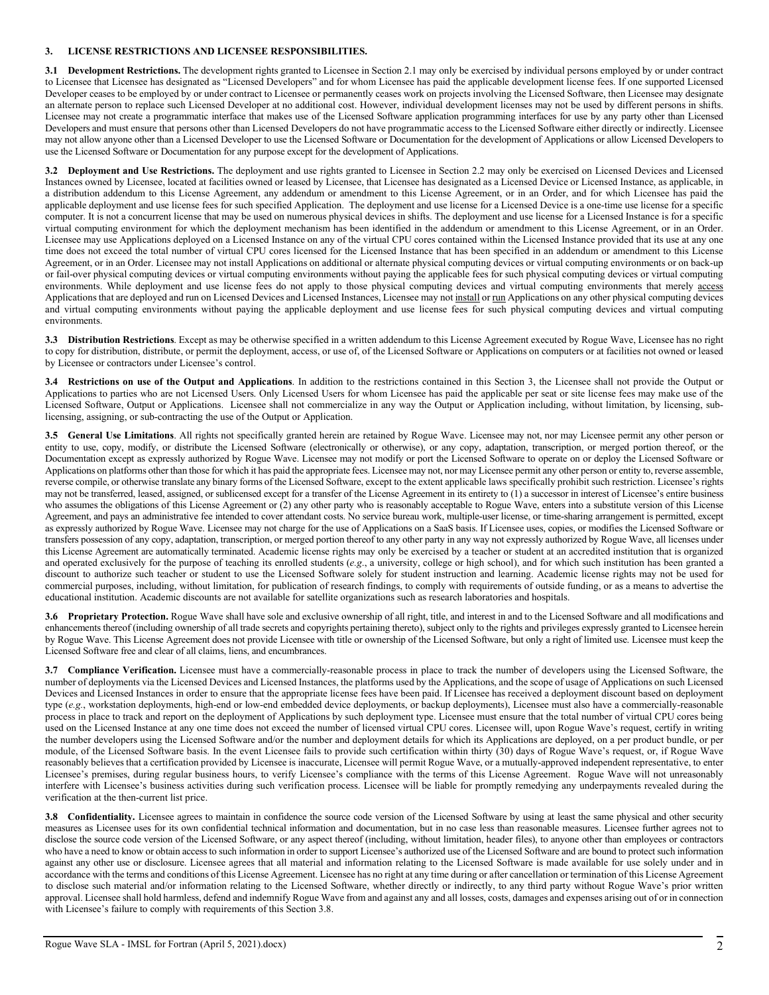## **3. LICENSE RESTRICTIONS AND LICENSEE RESPONSIBILITIES.**

**3.1 Development Restrictions.** The development rights granted to Licensee in Section 2.1 may only be exercised by individual persons employed by or under contract to Licensee that Licensee has designated as "Licensed Developers" and for whom Licensee has paid the applicable development license fees. If one supported Licensed Developer ceases to be employed by or under contract to Licensee or permanently ceases work on projects involving the Licensed Software, then Licensee may designate an alternate person to replace such Licensed Developer at no additional cost. However, individual development licenses may not be used by different persons in shifts. Licensee may not create a programmatic interface that makes use of the Licensed Software application programming interfaces for use by any party other than Licensed Developers and must ensure that persons other than Licensed Developers do not have programmatic access to the Licensed Software either directly or indirectly. Licensee may not allow anyone other than a Licensed Developer to use the Licensed Software or Documentation for the development of Applications or allow Licensed Developers to use the Licensed Software or Documentation for any purpose except for the development of Applications.

**3.2 Deployment and Use Restrictions.** The deployment and use rights granted to Licensee in Section 2.2 may only be exercised on Licensed Devices and Licensed Instances owned by Licensee, located at facilities owned or leased by Licensee, that Licensee has designated as a Licensed Device or Licensed Instance, as applicable, in a distribution addendum to this License Agreement, any addendum or amendment to this License Agreement, or in an Order, and for which Licensee has paid the applicable deployment and use license fees for such specified Application. The deployment and use license for a Licensed Device is a one-time use license for a specific computer. It is not a concurrent license that may be used on numerous physical devices in shifts. The deployment and use license for a Licensed Instance is for a specific virtual computing environment for which the deployment mechanism has been identified in the addendum or amendment to this License Agreement, or in an Order. Licensee may use Applications deployed on a Licensed Instance on any of the virtual CPU cores contained within the Licensed Instance provided that its use at any one time does not exceed the total number of virtual CPU cores licensed for the Licensed Instance that has been specified in an addendum or amendment to this License Agreement, or in an Order. Licensee may not install Applications on additional or alternate physical computing devices or virtual computing environments or on back-up or fail-over physical computing devices or virtual computing environments without paying the applicable fees for such physical computing devices or virtual computing environments. While deployment and use license fees do not apply to those physical computing devices and virtual computing environments that merely access Applications that are deployed and run on Licensed Devices and Licensed Instances, Licensee may not install or run Applications on any other physical computing devices and virtual computing environments without paying the applicable deployment and use license fees for such physical computing devices and virtual computing environments.

**3.3 Distribution Restrictions**. Except as may be otherwise specified in a written addendum to this License Agreement executed by Rogue Wave, Licensee has no right to copy for distribution, distribute, or permit the deployment, access, or use of, of the Licensed Software or Applications on computers or at facilities not owned or leased by Licensee or contractors under Licensee's control.

**3.4 Restrictions on use of the Output and Applications**. In addition to the restrictions contained in this Section 3, the Licensee shall not provide the Output or Applications to parties who are not Licensed Users. Only Licensed Users for whom Licensee has paid the applicable per seat or site license fees may make use of the Licensed Software, Output or Applications. Licensee shall not commercialize in any way the Output or Application including, without limitation, by licensing, sublicensing, assigning, or sub-contracting the use of the Output or Application.

**3.5 General Use Limitations**. All rights not specifically granted herein are retained by Rogue Wave. Licensee may not, nor may Licensee permit any other person or entity to use, copy, modify, or distribute the Licensed Software (electronically or otherwise), or any copy, adaptation, transcription, or merged portion thereof, or the Documentation except as expressly authorized by Rogue Wave. Licensee may not modify or port the Licensed Software to operate on or deploy the Licensed Software or Applications on platforms other than those for which it has paid the appropriate fees. Licensee may not, nor may Licensee permit any other person or entity to, reverse assemble, reverse compile, or otherwise translate any binary forms of the Licensed Software, except to the extent applicable laws specifically prohibit such restriction. Licensee's rights may not be transferred, leased, assigned, or sublicensed except for a transfer of the License Agreement in its entirety to (1) a successor in interest of Licensee's entire business who assumes the obligations of this License Agreement or (2) any other party who is reasonably acceptable to Rogue Wave, enters into a substitute version of this License Agreement, and pays an administrative fee intended to cover attendant costs. No service bureau work, multiple-user license, or time-sharing arrangement is permitted, except as expressly authorized by Rogue Wave. Licensee may not charge for the use of Applications on a SaaS basis. If Licensee uses, copies, or modifies the Licensed Software or transfers possession of any copy, adaptation, transcription, or merged portion thereof to any other party in any way not expressly authorized by Rogue Wave, all licenses under this License Agreement are automatically terminated. Academic license rights may only be exercised by a teacher or student at an accredited institution that is organized and operated exclusively for the purpose of teaching its enrolled students (e.g., a university, college or high school), and for which such institution has been granted a discount to authorize such teacher or student to use the Licensed Software solely for student instruction and learning. Academic license rights may not be used for commercial purposes, including, without limitation, for publication of research findings, to comply with requirements of outside funding, or as a means to advertise the educational institution. Academic discounts are not available for satellite organizations such as research laboratories and hospitals.

**3.6 Proprietary Protection.** Rogue Wave shall have sole and exclusive ownership of all right, title, and interest in and to the Licensed Software and all modifications and enhancements thereof (including ownership of all trade secrets and copyrights pertaining thereto), subject only to the rights and privileges expressly granted to Licensee herein by Rogue Wave. This License Agreement does not provide Licensee with title or ownership of the Licensed Software, but only a right of limited use. Licensee must keep the Licensed Software free and clear of all claims, liens, and encumbrances.

**3.7 Compliance Verification.** Licensee must have a commercially-reasonable process in place to track the number of developers using the Licensed Software, the number of deployments via the Licensed Devices and Licensed Instances, the platforms used by the Applications, and the scope of usage of Applications on such Licensed Devices and Licensed Instances in order to ensure that the appropriate license fees have been paid. If Licensee has received a deployment discount based on deployment type (*e.g.*, workstation deployments, high-end or low-end embedded device deployments, or backup deployments), Licensee must also have a commercially-reasonable process in place to track and report on the deployment of Applications by such deployment type. Licensee must ensure that the total number of virtual CPU cores being used on the Licensed Instance at any one time does not exceed the number of licensed virtual CPU cores. Licensee will, upon Rogue Wave's request, certify in writing the number developers using the Licensed Software and/or the number and deployment details for which its Applications are deployed, on a per product bundle, or per module, of the Licensed Software basis. In the event Licensee fails to provide such certification within thirty (30) days of Rogue Wave's request, or, if Rogue Wave reasonably believes that a certification provided by Licensee is inaccurate, Licensee will permit Rogue Wave, or a mutually-approved independent representative, to enter Licensee's premises, during regular business hours, to verify Licensee's compliance with the terms of this License Agreement. Rogue Wave will not unreasonably interfere with Licensee's business activities during such verification process. Licensee will be liable for promptly remedying any underpayments revealed during the verification at the then-current list price.

**3.8 Confidentiality.** Licensee agrees to maintain in confidence the source code version of the Licensed Software by using at least the same physical and other security measures as Licensee uses for its own confidential technical information and documentation, but in no case less than reasonable measures. Licensee further agrees not to disclose the source code version of the Licensed Software, or any aspect thereof (including, without limitation, header files), to anyone other than employees or contractors who have a need to know or obtain access to such information in order to support Licensee's authorized use of the Licensed Software and are bound to protect such information against any other use or disclosure. Licensee agrees that all material and information relating to the Licensed Software is made available for use solely under and in accordance with the terms and conditions of this License Agreement. Licensee has no right at any time during or after cancellation or termination of this License Agreement to disclose such material and/or information relating to the Licensed Software, whether directly or indirectly, to any third party without Rogue Wave's prior written approval. Licensee shall hold harmless, defend and indemnify Rogue Wave from and against any and all losses, costs, damages and expenses arising out of or in connection with Licensee's failure to comply with requirements of this Section 3.8.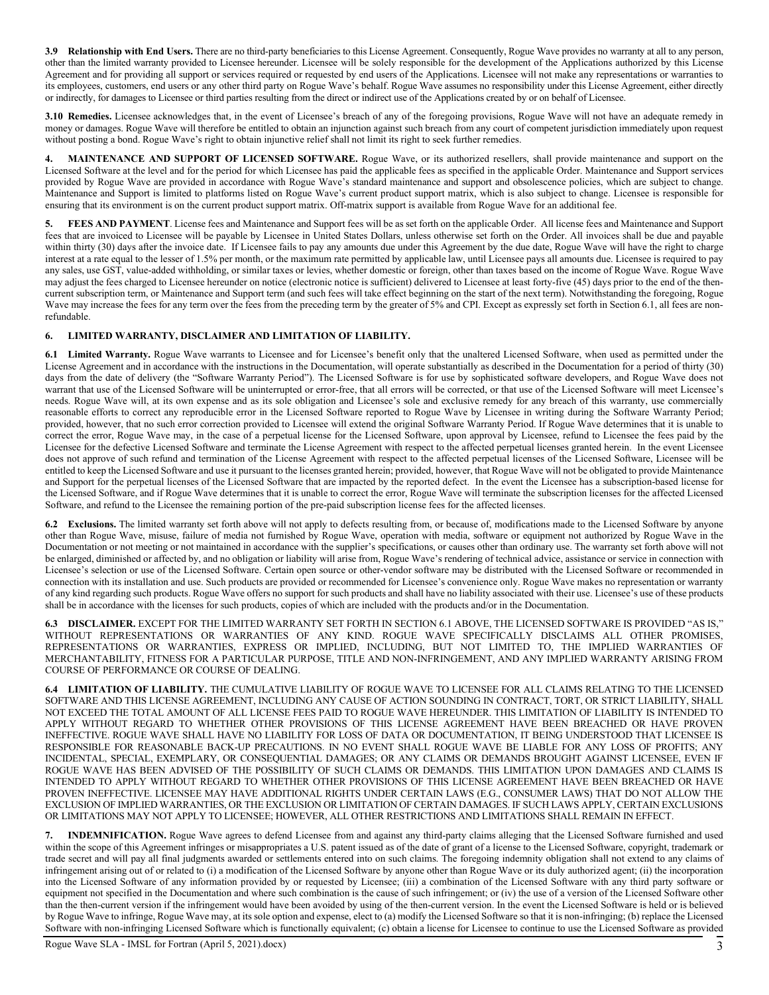**3.9 Relationship with End Users.** There are no third-party beneficiaries to this License Agreement. Consequently, Rogue Wave provides no warranty at all to any person, other than the limited warranty provided to Licensee hereunder. Licensee will be solely responsible for the development of the Applications authorized by this License Agreement and for providing all support or services required or requested by end users of the Applications. Licensee will not make any representations or warranties to its employees, customers, end users or any other third party on Rogue Wave's behalf. Rogue Wave assumes no responsibility under this License Agreement, either directly or indirectly, for damages to Licensee or third parties resulting from the direct or indirect use of the Applications created by or on behalf of Licensee.

**3.10 Remedies.** Licensee acknowledges that, in the event of Licensee's breach of any of the foregoing provisions, Rogue Wave will not have an adequate remedy in money or damages. Rogue Wave will therefore be entitled to obtain an injunction against such breach from any court of competent jurisdiction immediately upon request without posting a bond. Rogue Wave's right to obtain injunctive relief shall not limit its right to seek further remedies.

**4. MAINTENANCE AND SUPPORT OF LICENSED SOFTWARE.** Rogue Wave, or its authorized resellers, shall provide maintenance and support on the Licensed Software at the level and for the period for which Licensee has paid the applicable fees as specified in the applicable Order. Maintenance and Support services provided by Rogue Wave are provided in accordance with Rogue Wave's standard maintenance and support and obsolescence policies, which are subject to change. Maintenance and Support is limited to platforms listed on Rogue Wave's current product support matrix, which is also subject to change. Licensee is responsible for ensuring that its environment is on the current product support matrix. Off-matrix support is available from Rogue Wave for an additional fee.

**5. FEES AND PAYMENT**. License fees and Maintenance and Support fees will be as set forth on the applicable Order. All license fees and Maintenance and Support fees that are invoiced to Licensee will be payable by Licensee in United States Dollars, unless otherwise set forth on the Order. All invoices shall be due and payable within thirty (30) days after the invoice date. If Licensee fails to pay any amounts due under this Agreement by the due date, Rogue Wave will have the right to charge interest at a rate equal to the lesser of 1.5% per month, or the maximum rate permitted by applicable law, until Licensee pays all amounts due. Licensee is required to pay any sales, use GST, value-added withholding, or similar taxes or levies, whether domestic or foreign, other than taxes based on the income of Rogue Wave. Rogue Wave may adjust the fees charged to Licensee hereunder on notice (electronic notice is sufficient) delivered to Licensee at least forty-five (45) days prior to the end of the thencurrent subscription term, or Maintenance and Support term (and such fees will take effect beginning on the start of the next term). Notwithstanding the foregoing, Rogue Wave may increase the fees for any term over the fees from the preceding term by the greater of 5% and CPI. Except as expressly set forth in Section 6.1, all fees are nonrefundable.

# **6. LIMITED WARRANTY, DISCLAIMER AND LIMITATION OF LIABILITY.**

**6.1 Limited Warranty.** Rogue Wave warrants to Licensee and for Licensee's benefit only that the unaltered Licensed Software, when used as permitted under the License Agreement and in accordance with the instructions in the Documentation, will operate substantially as described in the Documentation for a period of thirty (30) days from the date of delivery (the "Software Warranty Period"). The Licensed Software is for use by sophisticated software developers, and Rogue Wave does not warrant that use of the Licensed Software will be uninterrupted or error-free, that all errors will be corrected, or that use of the Licensed Software will meet Licensee's needs. Rogue Wave will, at its own expense and as its sole obligation and Licensee's sole and exclusive remedy for any breach of this warranty, use commercially reasonable efforts to correct any reproducible error in the Licensed Software reported to Rogue Wave by Licensee in writing during the Software Warranty Period; provided, however, that no such error correction provided to Licensee will extend the original Software Warranty Period. If Rogue Wave determines that it is unable to correct the error, Rogue Wave may, in the case of a perpetual license for the Licensed Software, upon approval by Licensee, refund to Licensee the fees paid by the Licensee for the defective Licensed Software and terminate the License Agreement with respect to the affected perpetual licenses granted herein. In the event Licensee does not approve of such refund and termination of the License Agreement with respect to the affected perpetual licenses of the Licensed Software, Licensee will be entitled to keep the Licensed Software and use it pursuant to the licenses granted herein; provided, however, that Rogue Wave will not be obligated to provide Maintenance and Support for the perpetual licenses of the Licensed Software that are impacted by the reported defect. In the event the Licensee has a subscription-based license for the Licensed Software, and if Rogue Wave determines that it is unable to correct the error, Rogue Wave will terminate the subscription licenses for the affected Licensed Software, and refund to the Licensee the remaining portion of the pre-paid subscription license fees for the affected licenses.

**6.2 Exclusions.** The limited warranty set forth above will not apply to defects resulting from, or because of, modifications made to the Licensed Software by anyone other than Rogue Wave, misuse, failure of media not furnished by Rogue Wave, operation with media, software or equipment not authorized by Rogue Wave in the Documentation or not meeting or not maintained in accordance with the supplier's specifications, or causes other than ordinary use. The warranty set forth above will not be enlarged, diminished or affected by, and no obligation or liability will arise from, Rogue Wave's rendering of technical advice, assistance or service in connection with Licensee's selection or use of the Licensed Software. Certain open source or other-vendor software may be distributed with the Licensed Software or recommended in connection with its installation and use. Such products are provided or recommended for Licensee's convenience only. Rogue Wave makes no representation or warranty of any kind regarding such products. Rogue Wave offers no support for such products and shall have no liability associated with their use. Licensee's use of these products shall be in accordance with the licenses for such products, copies of which are included with the products and/or in the Documentation.

**6.3 DISCLAIMER.** EXCEPT FOR THE LIMITED WARRANTY SET FORTH IN SECTION 6.1 ABOVE, THE LICENSED SOFTWARE IS PROVIDED "AS IS," WITHOUT REPRESENTATIONS OR WARRANTIES OF ANY KIND. ROGUE WAVE SPECIFICALLY DISCLAIMS ALL OTHER PROMISES, REPRESENTATIONS OR WARRANTIES, EXPRESS OR IMPLIED, INCLUDING, BUT NOT LIMITED TO, THE IMPLIED WARRANTIES OF MERCHANTABILITY, FITNESS FOR A PARTICULAR PURPOSE, TITLE AND NON-INFRINGEMENT, AND ANY IMPLIED WARRANTY ARISING FROM COURSE OF PERFORMANCE OR COURSE OF DEALING.

**6.4 LIMITATION OF LIABILITY.** THE CUMULATIVE LIABILITY OF ROGUE WAVE TO LICENSEE FOR ALL CLAIMS RELATING TO THE LICENSED SOFTWARE AND THIS LICENSE AGREEMENT, INCLUDING ANY CAUSE OF ACTION SOUNDING IN CONTRACT, TORT, OR STRICT LIABILITY, SHALL NOT EXCEED THE TOTAL AMOUNT OF ALL LICENSE FEES PAID TO ROGUE WAVE HEREUNDER. THIS LIMITATION OF LIABILITY IS INTENDED TO APPLY WITHOUT REGARD TO WHETHER OTHER PROVISIONS OF THIS LICENSE AGREEMENT HAVE BEEN BREACHED OR HAVE PROVEN INEFFECTIVE. ROGUE WAVE SHALL HAVE NO LIABILITY FOR LOSS OF DATA OR DOCUMENTATION, IT BEING UNDERSTOOD THAT LICENSEE IS RESPONSIBLE FOR REASONABLE BACK-UP PRECAUTIONS. IN NO EVENT SHALL ROGUE WAVE BE LIABLE FOR ANY LOSS OF PROFITS; ANY INCIDENTAL, SPECIAL, EXEMPLARY, OR CONSEQUENTIAL DAMAGES; OR ANY CLAIMS OR DEMANDS BROUGHT AGAINST LICENSEE, EVEN IF ROGUE WAVE HAS BEEN ADVISED OF THE POSSIBILITY OF SUCH CLAIMS OR DEMANDS. THIS LIMITATION UPON DAMAGES AND CLAIMS IS INTENDED TO APPLY WITHOUT REGARD TO WHETHER OTHER PROVISIONS OF THIS LICENSE AGREEMENT HAVE BEEN BREACHED OR HAVE PROVEN INEFFECTIVE. LICENSEE MAY HAVE ADDITIONAL RIGHTS UNDER CERTAIN LAWS (E.G., CONSUMER LAWS) THAT DO NOT ALLOW THE EXCLUSION OF IMPLIED WARRANTIES, OR THE EXCLUSION OR LIMITATION OF CERTAIN DAMAGES. IF SUCH LAWS APPLY, CERTAIN EXCLUSIONS OR LIMITATIONS MAY NOT APPLY TO LICENSEE; HOWEVER, ALL OTHER RESTRICTIONS AND LIMITATIONS SHALL REMAIN IN EFFECT.

**7. INDEMNIFICATION.** Rogue Wave agrees to defend Licensee from and against any third-party claims alleging that the Licensed Software furnished and used within the scope of this Agreement infringes or misappropriates a U.S. patent issued as of the date of grant of a license to the Licensed Software, copyright, trademark or trade secret and will pay all final judgments awarded or settlements entered into on such claims. The foregoing indemnity obligation shall not extend to any claims of infringement arising out of or related to (i) a modification of the Licensed Software by anyone other than Rogue Wave or its duly authorized agent; (ii) the incorporation into the Licensed Software of any information provided by or requested by Licensee; (iii) a combination of the Licensed Software with any third party software or equipment not specified in the Documentation and where such combination is the cause of such infringement; or (iv) the use of a version of the Licensed Software other than the then-current version if the infringement would have been avoided by using of the then-current version. In the event the Licensed Software is held or is believed by Rogue Wave to infringe, Rogue Wave may, at its sole option and expense, elect to (a) modify the Licensed Software so that it is non-infringing; (b) replace the Licensed Software with non-infringing Licensed Software which is functionally equivalent; (c) obtain a license for Licensee to continue to use the Licensed Software as provided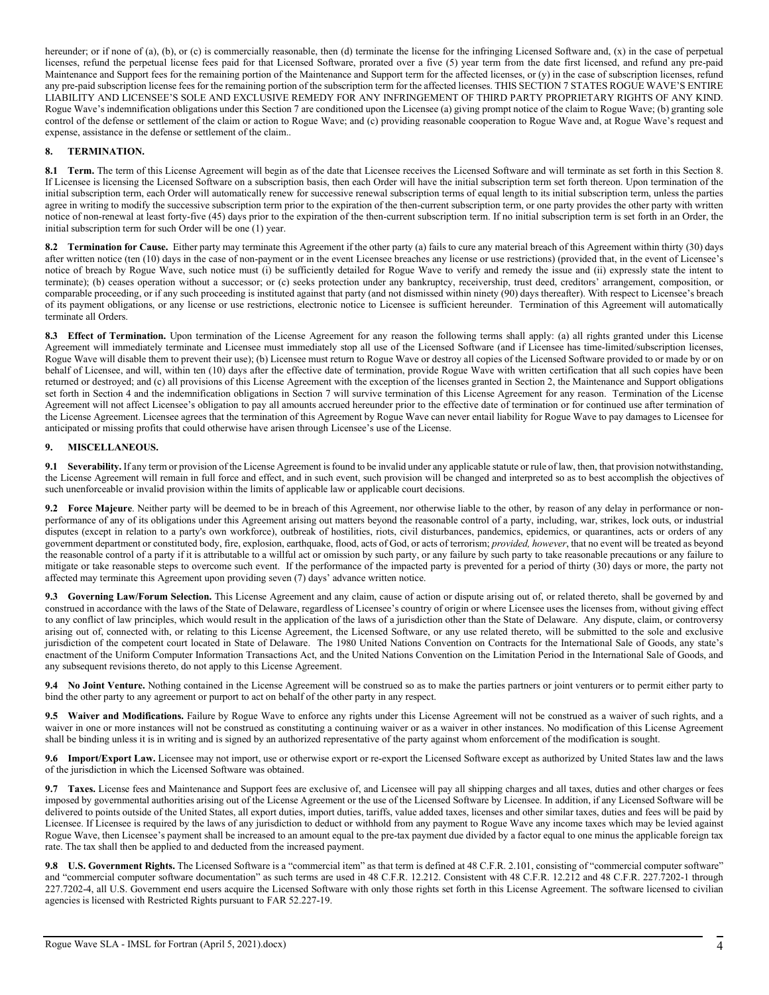hereunder; or if none of (a), (b), or (c) is commercially reasonable, then (d) terminate the license for the infringing Licensed Software and, (x) in the case of perpetual licenses, refund the perpetual license fees paid for that Licensed Software, prorated over a five (5) year term from the date first licensed, and refund any pre-paid Maintenance and Support fees for the remaining portion of the Maintenance and Support term for the affected licenses, or (y) in the case of subscription licenses, refund any pre-paid subscription license fees for the remaining portion of the subscription term for the affected licenses. THIS SECTION 7 STATES ROGUE WAVE'S ENTIRE LIABILITY AND LICENSEE'S SOLE AND EXCLUSIVE REMEDY FOR ANY INFRINGEMENT OF THIRD PARTY PROPRIETARY RIGHTS OF ANY KIND. Rogue Wave's indemnification obligations under this Section 7 are conditioned upon the Licensee (a) giving prompt notice of the claim to Rogue Wave; (b) granting sole control of the defense or settlement of the claim or action to Rogue Wave; and (c) providing reasonable cooperation to Rogue Wave and, at Rogue Wave's request and expense, assistance in the defense or settlement of the claim..

# **8. TERMINATION.**

8.1 **Term.** The term of this License Agreement will begin as of the date that Licensee receives the Licensed Software and will terminate as set forth in this Section 8. If Licensee is licensing the Licensed Software on a subscription basis, then each Order will have the initial subscription term set forth thereon. Upon termination of the initial subscription term, each Order will automatically renew for successive renewal subscription terms of equal length to its initial subscription term, unless the parties agree in writing to modify the successive subscription term prior to the expiration of the then-current subscription term, or one party provides the other party with written notice of non-renewal at least forty-five (45) days prior to the expiration of the then-current subscription term. If no initial subscription term is set forth in an Order, the initial subscription term for such Order will be one (1) year.

**8.2 Termination for Cause.** Either party may terminate this Agreement if the other party (a) fails to cure any material breach of this Agreement within thirty (30) days after written notice (ten (10) days in the case of non-payment or in the event Licensee breaches any license or use restrictions) (provided that, in the event of Licensee's notice of breach by Rogue Wave, such notice must (i) be sufficiently detailed for Rogue Wave to verify and remedy the issue and (ii) expressly state the intent to terminate); (b) ceases operation without a successor; or (c) seeks protection under any bankruptcy, receivership, trust deed, creditors' arrangement, composition, or comparable proceeding, or if any such proceeding is instituted against that party (and not dismissed within ninety (90) days thereafter). With respect to Licensee's breach of its payment obligations, or any license or use restrictions, electronic notice to Licensee is sufficient hereunder. Termination of this Agreement will automatically terminate all Orders.

8.3 **Effect of Termination.** Upon termination of the License Agreement for any reason the following terms shall apply: (a) all rights granted under this License Agreement will immediately terminate and Licensee must immediately stop all use of the Licensed Software (and if Licensee has time-limited/subscription licenses, Rogue Wave will disable them to prevent their use); (b) Licensee must return to Rogue Wave or destroy all copies of the Licensed Software provided to or made by or on behalf of Licensee, and will, within ten (10) days after the effective date of termination, provide Rogue Wave with written certification that all such copies have been returned or destroyed; and (c) all provisions of this License Agreement with the exception of the licenses granted in Section 2, the Maintenance and Support obligations set forth in Section 4 and the indemnification obligations in Section 7 will survive termination of this License Agreement for any reason. Termination of the License Agreement will not affect Licensee's obligation to pay all amounts accrued hereunder prior to the effective date of termination or for continued use after termination of the License Agreement. Licensee agrees that the termination of this Agreement by Rogue Wave can never entail liability for Rogue Wave to pay damages to Licensee for anticipated or missing profits that could otherwise have arisen through Licensee's use of the License.

# **9. MISCELLANEOUS.**

**9.1 Severability.** If any term or provision of the License Agreement is found to be invalid under any applicable statute or rule of law, then, that provision notwithstanding, the License Agreement will remain in full force and effect, and in such event, such provision will be changed and interpreted so as to best accomplish the objectives of such unenforceable or invalid provision within the limits of applicable law or applicable court decisions.

**9.2 Force Majeure**. Neither party will be deemed to be in breach of this Agreement, nor otherwise liable to the other, by reason of any delay in performance or nonperformance of any of its obligations under this Agreement arising out matters beyond the reasonable control of a party, including, war, strikes, lock outs, or industrial disputes (except in relation to a party's own workforce), outbreak of hostilities, riots, civil disturbances, pandemics, epidemics, or quarantines, acts or orders of any government department or constituted body, fire, explosion, earthquake, flood, acts of God, or acts of terrorism; *provided, however*, that no event will be treated as beyond the reasonable control of a party if it is attributable to a willful act or omission by such party, or any failure by such party to take reasonable precautions or any failure to mitigate or take reasonable steps to overcome such event. If the performance of the impacted party is prevented for a period of thirty (30) days or more, the party not affected may terminate this Agreement upon providing seven (7) days' advance written notice.

**9.3 Governing Law/Forum Selection.** This License Agreement and any claim, cause of action or dispute arising out of, or related thereto, shall be governed by and construed in accordance with the laws of the State of Delaware, regardless of Licensee's country of origin or where Licensee uses the licenses from, without giving effect to any conflict of law principles, which would result in the application of the laws of a jurisdiction other than the State of Delaware. Any dispute, claim, or controversy arising out of, connected with, or relating to this License Agreement, the Licensed Software, or any use related thereto, will be submitted to the sole and exclusive jurisdiction of the competent court located in State of Delaware. The 1980 United Nations Convention on Contracts for the International Sale of Goods, any state's enactment of the Uniform Computer Information Transactions Act, and the United Nations Convention on the Limitation Period in the International Sale of Goods, and any subsequent revisions thereto, do not apply to this License Agreement.

**9.4 No Joint Venture.** Nothing contained in the License Agreement will be construed so as to make the parties partners or joint venturers or to permit either party to bind the other party to any agreement or purport to act on behalf of the other party in any respect.

**9.5 Waiver and Modifications.** Failure by Rogue Wave to enforce any rights under this License Agreement will not be construed as a waiver of such rights, and a waiver in one or more instances will not be construed as constituting a continuing waiver or as a waiver in other instances. No modification of this License Agreement shall be binding unless it is in writing and is signed by an authorized representative of the party against whom enforcement of the modification is sought.

**9.6 Import/Export Law.** Licensee may not import, use or otherwise export or re-export the Licensed Software except as authorized by United States law and the laws of the jurisdiction in which the Licensed Software was obtained.

**9.7 Taxes.** License fees and Maintenance and Support fees are exclusive of, and Licensee will pay all shipping charges and all taxes, duties and other charges or fees imposed by governmental authorities arising out of the License Agreement or the use of the Licensed Software by Licensee. In addition, if any Licensed Software will be delivered to points outside of the United States, all export duties, import duties, tariffs, value added taxes, licenses and other similar taxes, duties and fees will be paid by Licensee. If Licensee is required by the laws of any jurisdiction to deduct or withhold from any payment to Rogue Wave any income taxes which may be levied against Rogue Wave, then Licensee's payment shall be increased to an amount equal to the pre-tax payment due divided by a factor equal to one minus the applicable foreign tax rate. The tax shall then be applied to and deducted from the increased payment.

**9.8 U.S. Government Rights.** The Licensed Software is a "commercial item" as that term is defined at 48 C.F.R. 2.101, consisting of "commercial computer software" and "commercial computer software documentation" as such terms are used in 48 C.F.R. 12.212. Consistent with 48 C.F.R. 12.212 and 48 C.F.R. 227.7202-1 through 227.7202-4, all U.S. Government end users acquire the Licensed Software with only those rights set forth in this License Agreement. The software licensed to civilian agencies is licensed with Restricted Rights pursuant to FAR 52.227-19.